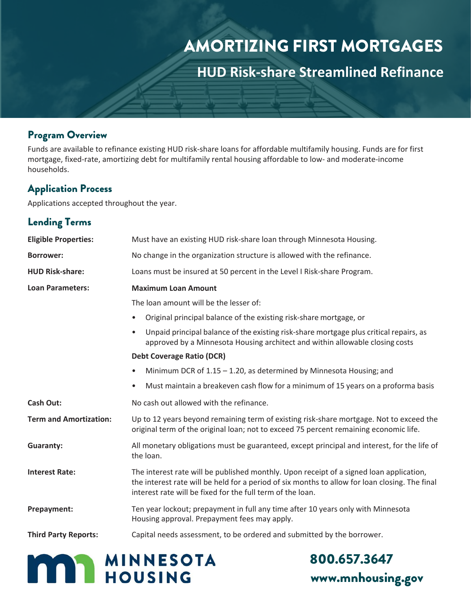# AMORTIZING FIRST MORTGAGES

**HUD Risk-share Streamlined Refinance**

#### Program Overview

Funds are available to refinance existing HUD risk-share loans for affordable multifamily housing. Funds are for first mortgage, fixed-rate, amortizing debt for multifamily rental housing affordable to low- and moderate-income households.

#### Application Process

Applications accepted throughout the year.

## Lending Terms

| <b>Eligible Properties:</b>   | Must have an existing HUD risk-share loan through Minnesota Housing.                                                                                                                                                                                    |
|-------------------------------|---------------------------------------------------------------------------------------------------------------------------------------------------------------------------------------------------------------------------------------------------------|
| <b>Borrower:</b>              | No change in the organization structure is allowed with the refinance.                                                                                                                                                                                  |
| <b>HUD Risk-share:</b>        | Loans must be insured at 50 percent in the Level I Risk-share Program.                                                                                                                                                                                  |
| <b>Loan Parameters:</b>       | <b>Maximum Loan Amount</b>                                                                                                                                                                                                                              |
|                               | The loan amount will be the lesser of:                                                                                                                                                                                                                  |
|                               | Original principal balance of the existing risk-share mortgage, or<br>$\bullet$                                                                                                                                                                         |
|                               | Unpaid principal balance of the existing risk-share mortgage plus critical repairs, as<br>$\bullet$<br>approved by a Minnesota Housing architect and within allowable closing costs                                                                     |
|                               | <b>Debt Coverage Ratio (DCR)</b>                                                                                                                                                                                                                        |
|                               | Minimum DCR of $1.15 - 1.20$ , as determined by Minnesota Housing; and<br>$\bullet$                                                                                                                                                                     |
|                               | Must maintain a breakeven cash flow for a minimum of 15 years on a proforma basis<br>$\bullet$                                                                                                                                                          |
| <b>Cash Out:</b>              | No cash out allowed with the refinance.                                                                                                                                                                                                                 |
| <b>Term and Amortization:</b> | Up to 12 years beyond remaining term of existing risk-share mortgage. Not to exceed the<br>original term of the original loan; not to exceed 75 percent remaining economic life.                                                                        |
| <b>Guaranty:</b>              | All monetary obligations must be guaranteed, except principal and interest, for the life of<br>the loan.                                                                                                                                                |
| <b>Interest Rate:</b>         | The interest rate will be published monthly. Upon receipt of a signed loan application,<br>the interest rate will be held for a period of six months to allow for loan closing. The final<br>interest rate will be fixed for the full term of the loan. |
| Prepayment:                   | Ten year lockout; prepayment in full any time after 10 years only with Minnesota<br>Housing approval. Prepayment fees may apply.                                                                                                                        |
| <b>Third Party Reports:</b>   | Capital needs assessment, to be ordered and submitted by the borrower.                                                                                                                                                                                  |



800.657.3647 [www.mnhousing.gov](http://www.mnhousing.gov/)